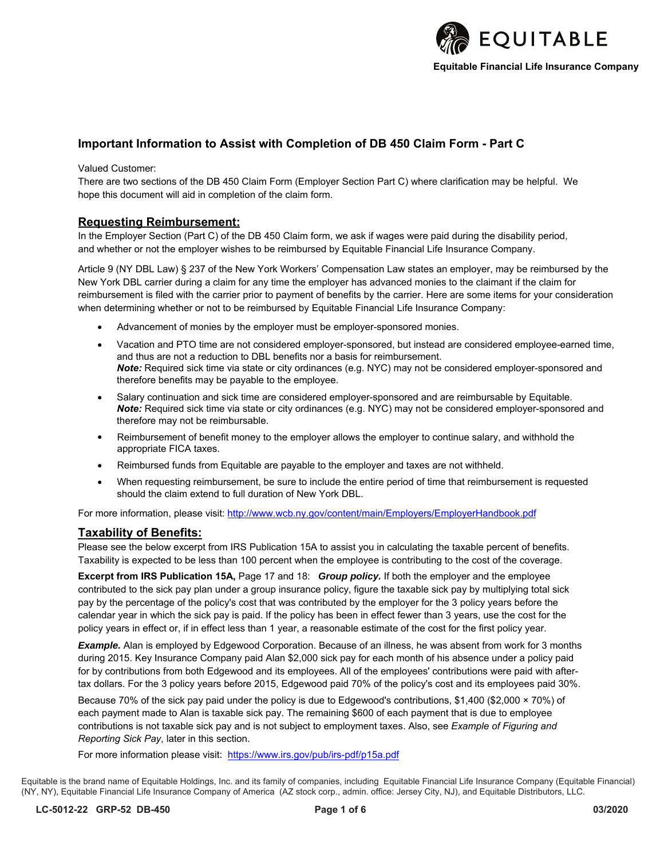

# **Important Information to Assist with Completion of DB 450 Claim Form - Part C**

Valued Customer:

There are two sections of the DB 450 Claim Form (Employer Section Part C) where clarification may be helpful. We hope this document will aid in completion of the claim form.

# **Requesting Reimbursement:**

In the Employer Section (Part C) of the DB 450 Claim form, we ask if wages were paid during the disability period, and whether or not the employer wishes to be reimbursed by Equitable Financial Life Insurance Company.

Article 9 (NY DBL Law) § 237 of the New York Workers' Compensation Law states an employer, may be reimbursed by the New York DBL carrier during a claim for any time the employer has advanced monies to the claimant if the claim for reimbursement is filed with the carrier prior to payment of benefits by the carrier. Here are some items for your consideration when determining whether or not to be reimbursed by Equitable Financial Life Insurance Company:

- Advancement of monies by the employer must be employer-sponsored monies.
- Vacation and PTO time are not considered employer-sponsored, but instead are considered employee-earned time, and thus are not a reduction to DBL benefits nor a basis for reimbursement. *Note:* Required sick time via state or city ordinances (e.g. NYC) may not be considered employer-sponsored and therefore benefits may be payable to the employee.
- Salary continuation and sick time are considered employer-sponsored and are reimbursable by Equitable. *Note:* Required sick time via state or city ordinances (e.g. NYC) may not be considered employer-sponsored and therefore may not be reimbursable.
- Reimbursement of benefit money to the employer allows the employer to continue salary, and withhold the appropriate FICA taxes.
- Reimbursed funds from Equitable are payable to the employer and taxes are not withheld.
- When requesting reimbursement, be sure to include the entire period of time that reimbursement is requested should the claim extend to full duration of New York DBL.

For more information, please visit: <http://www.wcb.ny.gov/content/main/Employers/EmployerHandbook.pdf>

# **Taxability of Benefits:**

Please see the below excerpt from IRS Publication 15A to assist you in calculating the taxable percent of benefits. Taxability is expected to be less than 100 percent when the employee is contributing to the cost of the coverage.

**Excerpt from IRS Publication 15A,** Page 17 and 18: *Group policy.* If both the employer and the employee contributed to the sick pay plan under a group insurance policy, figure the taxable sick pay by multiplying total sick pay by the percentage of the policy's cost that was contributed by the employer for the 3 policy years before the calendar year in which the sick pay is paid. If the policy has been in effect fewer than 3 years, use the cost for the policy years in effect or, if in effect less than 1 year, a reasonable estimate of the cost for the first policy year.

*Example.* Alan is employed by Edgewood Corporation. Because of an illness, he was absent from work for 3 months during 2015. Key Insurance Company paid Alan \$2,000 sick pay for each month of his absence under a policy paid for by contributions from both Edgewood and its employees. All of the employees' contributions were paid with aftertax dollars. For the 3 policy years before 2015, Edgewood paid 70% of the policy's cost and its employees paid 30%.

Because 70% of the sick pay paid under the policy is due to Edgewood's contributions, \$1,400 (\$2,000 × 70%) of each payment made to Alan is taxable sick pay. The remaining \$600 of each payment that is due to employee contributions is not taxable sick pay and is not subject to employment taxes. Also, see *Example of Figuring and Reporting Sick Pay*, later in this section.

For more information please visit:<https://www.irs.gov/pub/irs-pdf/p15a.pdf>

Equitable is the brand name of Equitable Holdings, Inc. and its family of companies, including Equitable Financial Life Insurance Company (Equitable Financial) (NY, NY), Equitable Financial Life Insurance Company of America (AZ stock corp., admin. office: Jersey City, NJ), and Equitable Distributors, LLC.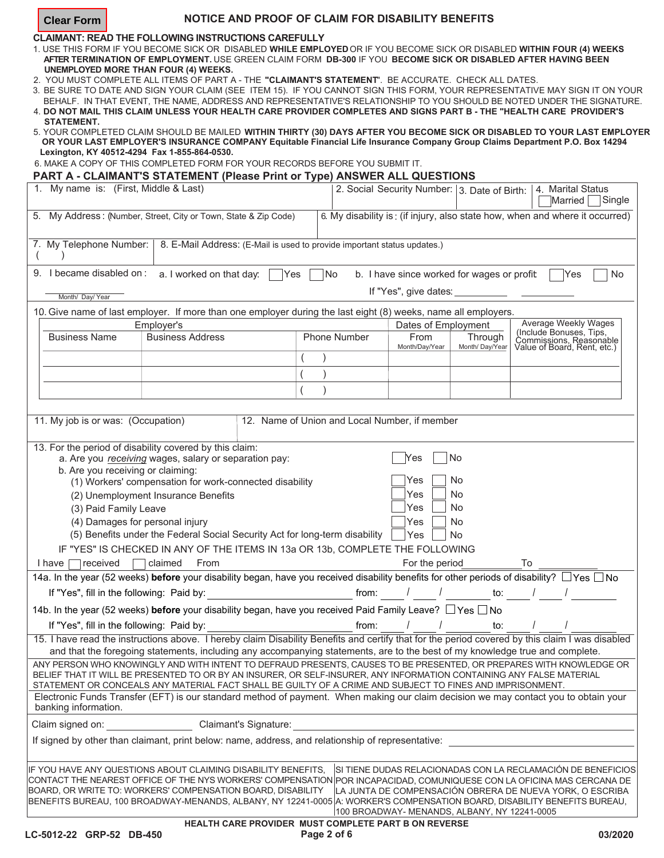| <b>Clear Form</b>                                                                                                                  |                       |                                                                        | NOTICE AND PROOF OF CLAIM FOR DISABILITY BENEFITS                                                                                                                                                                                                                                                                                      |                                               |                                        |                                            |                                                                                                                                                                                                                                                                                                                                                                                                                                                                                                                                                                                                                                                                                                                                                                                                                                                                                    |        |
|------------------------------------------------------------------------------------------------------------------------------------|-----------------------|------------------------------------------------------------------------|----------------------------------------------------------------------------------------------------------------------------------------------------------------------------------------------------------------------------------------------------------------------------------------------------------------------------------------|-----------------------------------------------|----------------------------------------|--------------------------------------------|------------------------------------------------------------------------------------------------------------------------------------------------------------------------------------------------------------------------------------------------------------------------------------------------------------------------------------------------------------------------------------------------------------------------------------------------------------------------------------------------------------------------------------------------------------------------------------------------------------------------------------------------------------------------------------------------------------------------------------------------------------------------------------------------------------------------------------------------------------------------------------|--------|
| <b>STATEMENT.</b><br>Lexington, KY 40512-4294 Fax 1-855-864-0530.                                                                  |                       | <b>UNEMPLOYED MORE THAN FOUR (4) WEEKS.</b>                            | <b>CLAIMANT: READ THE FOLLOWING INSTRUCTIONS CAREFULLY</b><br>2. YOU MUST COMPLETE ALL ITEMS OF PART A - THE "CLAIMANT'S STATEMENT". BE ACCURATE. CHECK ALL DATES.<br>6. MAKE A COPY OF THIS COMPLETED FORM FOR YOUR RECORDS BEFORE YOU SUBMIT IT.<br><b>PART A - CLAIMANT'S STATEMENT (Please Print or Type) ANSWER ALL QUESTIONS</b> |                                               |                                        |                                            | 1. USE THIS FORM IF YOU BECOME SICK OR DISABLED WHILE EMPLOYED OR IF YOU BECOME SICK OR DISABLED WITHIN FOUR (4) WEEKS<br>AFTER TERMINATION OF EMPLOYMENT. USE GREEN CLAIM FORM DB-300 IF YOU BECOME SICK OR DISABLED AFTER HAVING BEEN<br>3. BE SURE TO DATE AND SIGN YOUR CLAIM (SEE ITEM 15). IF YOU CANNOT SIGN THIS FORM, YOUR REPRESENTATIVE MAY SIGN IT ON YOUR<br>BEHALF. IN THAT EVENT, THE NAME, ADDRESS AND REPRESENTATIVE'S RELATIONSHIP TO YOU SHOULD BE NOTED UNDER THE SIGNATURE.<br>4. DO NOT MAIL THIS CLAIM UNLESS YOUR HEALTH CARE PROVIDER COMPLETES AND SIGNS PART B - THE "HEALTH CARE PROVIDER'S<br>5. YOUR COMPLETED CLAIM SHOULD BE MAILED WITHIN THIRTY (30) DAYS AFTER YOU BECOME SICK OR DISABLED TO YOUR LAST EMPLOYER<br>OR YOUR LAST EMPLOYER'S INSURANCE COMPANY Equitable Financial Life Insurance Company Group Claims Department P.O. Box 14294 |        |
| 1. My name is: (First, Middle & Last)                                                                                              |                       |                                                                        |                                                                                                                                                                                                                                                                                                                                        |                                               |                                        |                                            | 2. Social Security Number: 3. Date of Birth:   4. Marital Status<br>Married                                                                                                                                                                                                                                                                                                                                                                                                                                                                                                                                                                                                                                                                                                                                                                                                        | Single |
|                                                                                                                                    |                       |                                                                        | 5. My Address: (Number, Street, City or Town, State & Zip Code)                                                                                                                                                                                                                                                                        |                                               |                                        |                                            | 6. My disability is: (if injury, also state how, when and where it occurred)                                                                                                                                                                                                                                                                                                                                                                                                                                                                                                                                                                                                                                                                                                                                                                                                       |        |
| 7. My Telephone Number:                                                                                                            |                       |                                                                        | 8. E-Mail Address: (E-Mail is used to provide important status updates.)                                                                                                                                                                                                                                                               |                                               |                                        |                                            |                                                                                                                                                                                                                                                                                                                                                                                                                                                                                                                                                                                                                                                                                                                                                                                                                                                                                    |        |
| 9. I became disabled on:                                                                                                           |                       | a. I worked on that day:                                               | Yes                                                                                                                                                                                                                                                                                                                                    | No                                            |                                        | b. I have since worked for wages or profit | Yes                                                                                                                                                                                                                                                                                                                                                                                                                                                                                                                                                                                                                                                                                                                                                                                                                                                                                | No     |
| Month/ Day/ Year                                                                                                                   |                       |                                                                        |                                                                                                                                                                                                                                                                                                                                        |                                               | If "Yes", give dates:                  |                                            |                                                                                                                                                                                                                                                                                                                                                                                                                                                                                                                                                                                                                                                                                                                                                                                                                                                                                    |        |
|                                                                                                                                    |                       |                                                                        | 10. Give name of last employer. If more than one employer during the last eight (8) weeks, name all employers.                                                                                                                                                                                                                         |                                               |                                        |                                            |                                                                                                                                                                                                                                                                                                                                                                                                                                                                                                                                                                                                                                                                                                                                                                                                                                                                                    |        |
|                                                                                                                                    |                       | Employer's                                                             |                                                                                                                                                                                                                                                                                                                                        |                                               | Dates of Employment                    |                                            | Average Weekly Wages                                                                                                                                                                                                                                                                                                                                                                                                                                                                                                                                                                                                                                                                                                                                                                                                                                                               |        |
| <b>Business Name</b>                                                                                                               |                       | <b>Business Address</b>                                                |                                                                                                                                                                                                                                                                                                                                        | <b>Phone Number</b>                           | From                                   | Through                                    | (Include Bonuses, Tips,<br>Commissions, Reasonable<br>Value of Board, Rent, etc.)                                                                                                                                                                                                                                                                                                                                                                                                                                                                                                                                                                                                                                                                                                                                                                                                  |        |
|                                                                                                                                    |                       |                                                                        |                                                                                                                                                                                                                                                                                                                                        |                                               | Month/Day/Year                         | Month/Day/Year                             |                                                                                                                                                                                                                                                                                                                                                                                                                                                                                                                                                                                                                                                                                                                                                                                                                                                                                    |        |
|                                                                                                                                    |                       |                                                                        |                                                                                                                                                                                                                                                                                                                                        |                                               |                                        |                                            |                                                                                                                                                                                                                                                                                                                                                                                                                                                                                                                                                                                                                                                                                                                                                                                                                                                                                    |        |
|                                                                                                                                    |                       |                                                                        |                                                                                                                                                                                                                                                                                                                                        |                                               |                                        |                                            |                                                                                                                                                                                                                                                                                                                                                                                                                                                                                                                                                                                                                                                                                                                                                                                                                                                                                    |        |
|                                                                                                                                    |                       |                                                                        |                                                                                                                                                                                                                                                                                                                                        |                                               |                                        |                                            |                                                                                                                                                                                                                                                                                                                                                                                                                                                                                                                                                                                                                                                                                                                                                                                                                                                                                    |        |
| 11. My job is or was: (Occupation)<br>13. For the period of disability covered by this claim:<br>b. Are you receiving or claiming: | (3) Paid Family Leave | (2) Unemployment Insurance Benefits<br>(4) Damages for personal injury | a. Are you receiving wages, salary or separation pay:<br>(1) Workers' compensation for work-connected disability<br>(5) Benefits under the Federal Social Security Act for long-term disability<br>IF "YES" IS CHECKED IN ANY OF THE ITEMS IN 13a OR 13b, COMPLETE THE FOLLOWING                                                       | 12. Name of Union and Local Number, if member | Yes<br>Yes<br>Yes<br>Yes<br>Yes<br>Yes | No<br>No<br>No<br>No<br>No<br><b>No</b>    |                                                                                                                                                                                                                                                                                                                                                                                                                                                                                                                                                                                                                                                                                                                                                                                                                                                                                    |        |
| received<br>$l$ have $ $                                                                                                           |                       | claimed<br>From                                                        |                                                                                                                                                                                                                                                                                                                                        |                                               | For the period                         |                                            | To                                                                                                                                                                                                                                                                                                                                                                                                                                                                                                                                                                                                                                                                                                                                                                                                                                                                                 |        |
|                                                                                                                                    |                       |                                                                        |                                                                                                                                                                                                                                                                                                                                        |                                               |                                        |                                            | 14a. In the year (52 weeks) before your disability began, have you received disability benefits for other periods of disability? □ Yes □ No                                                                                                                                                                                                                                                                                                                                                                                                                                                                                                                                                                                                                                                                                                                                        |        |
| If "Yes", fill in the following: Paid by:                                                                                          |                       |                                                                        | <u> Alban Maria (</u>                                                                                                                                                                                                                                                                                                                  | from:                                         |                                        | to:                                        |                                                                                                                                                                                                                                                                                                                                                                                                                                                                                                                                                                                                                                                                                                                                                                                                                                                                                    |        |
|                                                                                                                                    |                       |                                                                        | 14b. In the year (52 weeks) before your disability began, have you received Paid Family Leave? □ Yes □ No                                                                                                                                                                                                                              |                                               |                                        |                                            |                                                                                                                                                                                                                                                                                                                                                                                                                                                                                                                                                                                                                                                                                                                                                                                                                                                                                    |        |
| If "Yes", fill in the following: Paid by:                                                                                          |                       |                                                                        |                                                                                                                                                                                                                                                                                                                                        | from:                                         |                                        |                                            |                                                                                                                                                                                                                                                                                                                                                                                                                                                                                                                                                                                                                                                                                                                                                                                                                                                                                    |        |
|                                                                                                                                    |                       |                                                                        |                                                                                                                                                                                                                                                                                                                                        |                                               |                                        | to:                                        | 15. I have read the instructions above. I hereby claim Disability Benefits and certify that for the period covered by this claim I was disabled                                                                                                                                                                                                                                                                                                                                                                                                                                                                                                                                                                                                                                                                                                                                    |        |
| banking information.<br>Claim signed on:                                                                                           |                       |                                                                        | STATEMENT OR CONCEALS ANY MATERIAL FACT SHALL BE GUILTY OF A CRIME AND SUBJECT TO FINES AND IMPRISONMENT.<br><b>Claimant's Signature:</b>                                                                                                                                                                                              |                                               |                                        |                                            | and that the foregoing statements, including any accompanying statements, are to the best of my knowledge true and complete.<br>ANY PERSON WHO KNOWINGLY AND WITH INTENT TO DEFRAUD PRESENTS, CAUSES TO BE PRESENTED, OR PREPARES WITH KNOWLEDGE OR<br>BELIEF THAT IT WILL BE PRESENTED TO OR BY AN INSURER, OR SELF-INSURER, ANY INFORMATION CONTAINING ANY FALSE MATERIAL<br>Electronic Funds Transfer (EFT) is our standard method of payment. When making our claim decision we may contact you to obtain your                                                                                                                                                                                                                                                                                                                                                                 |        |
|                                                                                                                                    |                       |                                                                        | If signed by other than claimant, print below: name, address, and relationship of representative:                                                                                                                                                                                                                                      |                                               |                                        |                                            |                                                                                                                                                                                                                                                                                                                                                                                                                                                                                                                                                                                                                                                                                                                                                                                                                                                                                    |        |
|                                                                                                                                    |                       |                                                                        | IF YOU HAVE ANY QUESTIONS ABOUT CLAIMING DISABILITY BENEFITS,<br>BOARD, OR WRITE TO: WORKERS' COMPENSATION BOARD, DISABILITY                                                                                                                                                                                                           |                                               |                                        |                                            | SI TIENE DUDAS RELACIONADAS CON LA RECLAMACIÓN DE BENEFICIOS<br>CONTACT THE NEAREST OFFICE OF THE NYS WORKERS' COMPENSATION POR INCAPACIDAD, COMUNIQUESE CON LA OFICINA MAS CERCANA DE<br>LA JUNTA DE COMPENSACIÓN OBRERA DE NUEVA YORK, O ESCRIBA<br>BENEFITS BUREAU, 100 BROADWAY-MENANDS, ALBANY, NY 12241-0005 A: WORKER'S COMPENSATION BOARD, DISABILITY BENEFITS BUREAU,                                                                                                                                                                                                                                                                                                                                                                                                                                                                                                     |        |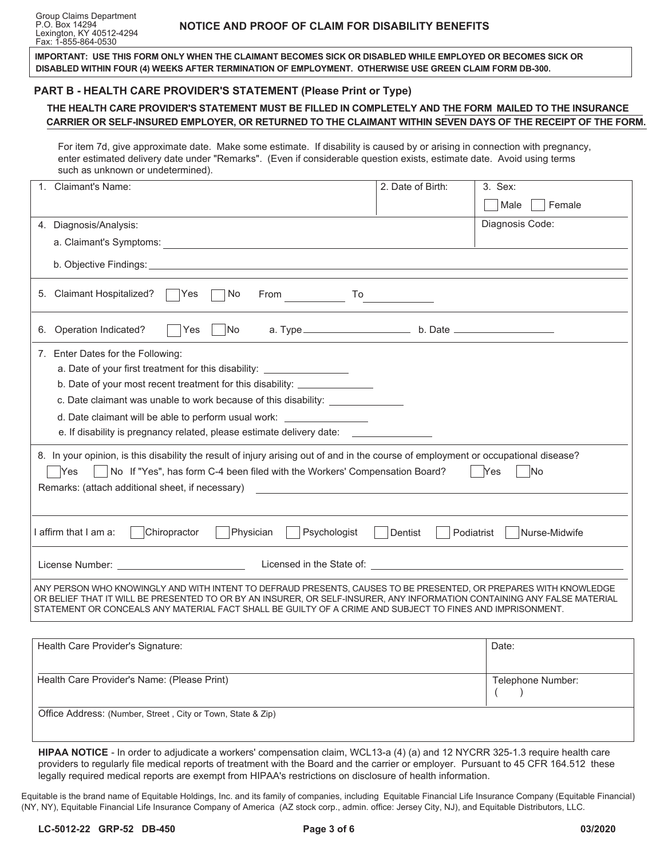| IMPORTANT: USE THIS FORM ONLY WHEN THE CLAIMANT BECOMES SICK OR DISABLED WHILE EMPLOYED OR BECOMES SICK OR<br>DISABLED WITHIN FOUR (4) WEEKS AFTER TERMINATION OF EMPLOYMENT. OTHERWISE USE GREEN CLAIM FORM DB-300.                                                                                                                                     |                                                                                                                                                                                                                                                                                                                                                     |                             |  |  |  |  |
|----------------------------------------------------------------------------------------------------------------------------------------------------------------------------------------------------------------------------------------------------------------------------------------------------------------------------------------------------------|-----------------------------------------------------------------------------------------------------------------------------------------------------------------------------------------------------------------------------------------------------------------------------------------------------------------------------------------------------|-----------------------------|--|--|--|--|
| PART B - HEALTH CARE PROVIDER'S STATEMENT (Please Print or Type)                                                                                                                                                                                                                                                                                         |                                                                                                                                                                                                                                                                                                                                                     |                             |  |  |  |  |
| THE HEALTH CARE PROVIDER'S STATEMENT MUST BE FILLED IN COMPLETELY AND THE FORM MAILED TO THE INSURANCE<br>CARRIER OR SELF-INSURED EMPLOYER, OR RETURNED TO THE CLAIMANT WITHIN SEVEN DAYS OF THE RECEIPT OF THE FORM.                                                                                                                                    |                                                                                                                                                                                                                                                                                                                                                     |                             |  |  |  |  |
| For item 7d, give approximate date. Make some estimate. If disability is caused by or arising in connection with pregnancy,<br>enter estimated delivery date under "Remarks". (Even if considerable question exists, estimate date. Avoid using terms<br>such as unknown or undetermined).                                                               |                                                                                                                                                                                                                                                                                                                                                     |                             |  |  |  |  |
| <b>Claimant's Name:</b>                                                                                                                                                                                                                                                                                                                                  | 2. Date of Birth:                                                                                                                                                                                                                                                                                                                                   | 3. Sex:                     |  |  |  |  |
|                                                                                                                                                                                                                                                                                                                                                          |                                                                                                                                                                                                                                                                                                                                                     | Male<br>Female              |  |  |  |  |
| 4. Diagnosis/Analysis:                                                                                                                                                                                                                                                                                                                                   |                                                                                                                                                                                                                                                                                                                                                     | Diagnosis Code:             |  |  |  |  |
|                                                                                                                                                                                                                                                                                                                                                          |                                                                                                                                                                                                                                                                                                                                                     |                             |  |  |  |  |
|                                                                                                                                                                                                                                                                                                                                                          |                                                                                                                                                                                                                                                                                                                                                     |                             |  |  |  |  |
| 5. Claimant Hospitalized?<br>Yes<br>No<br><b>From</b>                                                                                                                                                                                                                                                                                                    | $\begin{picture}(180,10) \put(0,0){\line(1,0){10}} \put(15,0){\line(1,0){10}} \put(15,0){\line(1,0){10}} \put(15,0){\line(1,0){10}} \put(15,0){\line(1,0){10}} \put(15,0){\line(1,0){10}} \put(15,0){\line(1,0){10}} \put(15,0){\line(1,0){10}} \put(15,0){\line(1,0){10}} \put(15,0){\line(1,0){10}} \put(15,0){\line(1,0){10}} \put(15,0){\line($ |                             |  |  |  |  |
| 6. Operation Indicated?<br>Yes<br>No.                                                                                                                                                                                                                                                                                                                    |                                                                                                                                                                                                                                                                                                                                                     |                             |  |  |  |  |
| 7. Enter Dates for the Following:<br>a. Date of your first treatment for this disability: ____________________<br>b. Date of your most recent treatment for this disability: _______________                                                                                                                                                             |                                                                                                                                                                                                                                                                                                                                                     |                             |  |  |  |  |
| c. Date claimant was unable to work because of this disability: ________________                                                                                                                                                                                                                                                                         |                                                                                                                                                                                                                                                                                                                                                     |                             |  |  |  |  |
| d. Date claimant will be able to perform usual work: _____________________                                                                                                                                                                                                                                                                               |                                                                                                                                                                                                                                                                                                                                                     |                             |  |  |  |  |
| e. If disability is pregnancy related, please estimate delivery date: _________                                                                                                                                                                                                                                                                          |                                                                                                                                                                                                                                                                                                                                                     |                             |  |  |  |  |
| 8. In your opinion, is this disability the result of injury arising out of and in the course of employment or occupational disease?<br>No If "Yes", has form C-4 been filed with the Workers' Compensation Board?<br><b>Yes</b><br>Remarks: (attach additional sheet, if necessary)                                                                      |                                                                                                                                                                                                                                                                                                                                                     | Yes<br><b>No</b>            |  |  |  |  |
|                                                                                                                                                                                                                                                                                                                                                          |                                                                                                                                                                                                                                                                                                                                                     |                             |  |  |  |  |
| I affirm that I am a:<br>Chiropractor<br>Physician<br>Psychologist                                                                                                                                                                                                                                                                                       | Dentist                                                                                                                                                                                                                                                                                                                                             | Podiatrist<br>Nurse-Midwife |  |  |  |  |
| License Number: William Street Street Street Street Street Street Street Street Street Street Street Street Street Street Street Street Street Street Street Street Street Street Street Street Street Street Street Street St                                                                                                                           |                                                                                                                                                                                                                                                                                                                                                     |                             |  |  |  |  |
| ANY PERSON WHO KNOWINGLY AND WITH INTENT TO DEFRAUD PRESENTS, CAUSES TO BE PRESENTED, OR PREPARES WITH KNOWLEDGE<br>OR BELIEF THAT IT WILL BE PRESENTED TO OR BY AN INSURER, OR SELF-INSURER, ANY INFORMATION CONTAINING ANY FALSE MATERIAL<br>STATEMENT OR CONCEALS ANY MATERIAL FACT SHALL BE GUILTY OF A CRIME AND SUBJECT TO FINES AND IMPRISONMENT. |                                                                                                                                                                                                                                                                                                                                                     |                             |  |  |  |  |

| Health Care Provider's Signature:                           | Date:             |
|-------------------------------------------------------------|-------------------|
| Health Care Provider's Name: (Please Print)                 | Telephone Number: |
| Office Address: (Number, Street, City or Town, State & Zip) |                   |

**HIPAA NOTICE** - In order to adjudicate a workers' compensation claim, WCL13-a (4) (a) and 12 NYCRR 325-1.3 require health care providers to regularly file medical reports of treatment with the Board and the carrier or employer. Pursuant to 45 CFR 164.512 these legally required medical reports are exempt from HIPAA's restrictions on disclosure of health information.

Equitable is the brand name of Equitable Holdings, Inc. and its family of companies, including Equitable Financial Life Insurance Company (Equitable Financial) (NY, NY), Equitable Financial Life Insurance Company of America (AZ stock corp., admin. office: Jersey City, NJ), and Equitable Distributors, LLC.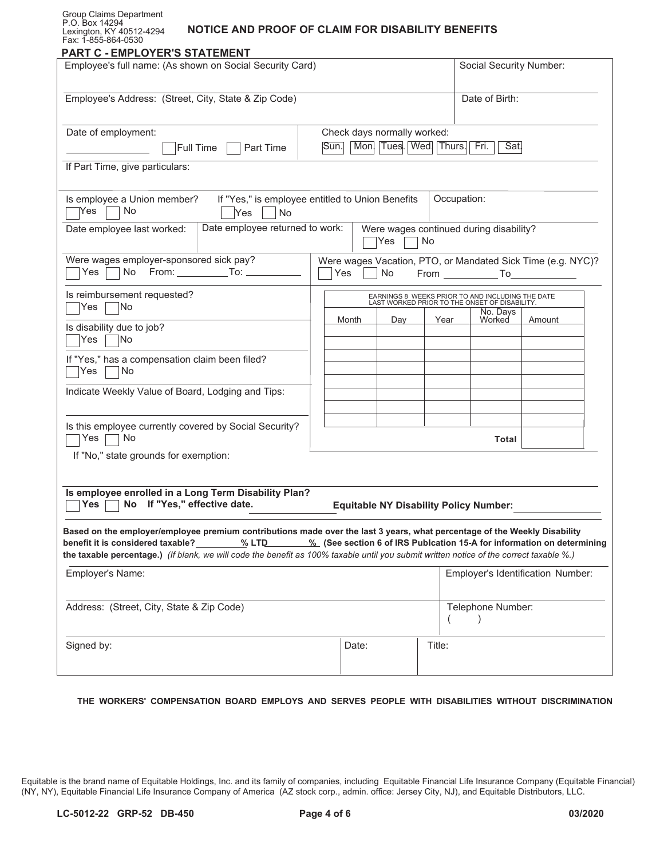#### Group Claims Department P.O. Box 14294 Lexington, KY 40512-4294 Fax: 1-855-864-0530

# **NOTICE AND PROOF OF CLAIM FOR DISABILITY BENEFITS**

| Employee's full name: (As shown on Social Security Card)                                                                                                                     |  |                                                                                        |  |     |      | Social Security Number:                                                                                    |                                               |                                                                                   |  |
|------------------------------------------------------------------------------------------------------------------------------------------------------------------------------|--|----------------------------------------------------------------------------------------|--|-----|------|------------------------------------------------------------------------------------------------------------|-----------------------------------------------|-----------------------------------------------------------------------------------|--|
| Employee's Address: (Street, City, State & Zip Code)                                                                                                                         |  | Check days normally worked:<br>Mon. Tues. Wed. Thurs. Fri.<br>Sun.                     |  |     |      | Date of Birth:<br>Sat.                                                                                     |                                               |                                                                                   |  |
| Date of employment:<br><b>Full Time</b><br>Part Time                                                                                                                         |  |                                                                                        |  |     |      |                                                                                                            |                                               |                                                                                   |  |
| If Part Time, give particulars:                                                                                                                                              |  |                                                                                        |  |     |      |                                                                                                            |                                               |                                                                                   |  |
| If "Yes," is employee entitled to Union Benefits<br>Is employee a Union member?<br><b>No</b><br> Yes<br>No<br>Yes                                                            |  |                                                                                        |  |     |      | Occupation:                                                                                                |                                               |                                                                                   |  |
| Date employee returned to work:<br>Date employee last worked:                                                                                                                |  | Yes<br>No                                                                              |  |     |      | Were wages continued during disability?                                                                    |                                               |                                                                                   |  |
| Were wages employer-sponsored sick pay?<br>Yes                                                                                                                               |  | Were wages Vacation, PTO, or Mandated Sick Time (e.g. NYC)?<br>Yes<br>No<br>From To To |  |     |      |                                                                                                            |                                               |                                                                                   |  |
| Is reimbursement requested?<br>No<br>Yes                                                                                                                                     |  |                                                                                        |  |     |      | EARNINGS 8 WEEKS PRIOR TO AND INCLUDING THE DATE LAST WORKED PRIOR TO THE ONSET OF DISABILITY.<br>No. Days |                                               |                                                                                   |  |
| Is disability due to job?<br>Yes<br>No                                                                                                                                       |  | Month                                                                                  |  | Day | Year |                                                                                                            | Worked                                        | Amount                                                                            |  |
| If "Yes," has a compensation claim been filed?<br>Yes<br>No                                                                                                                  |  |                                                                                        |  |     |      |                                                                                                            |                                               |                                                                                   |  |
| Indicate Weekly Value of Board, Lodging and Tips:                                                                                                                            |  |                                                                                        |  |     |      |                                                                                                            |                                               |                                                                                   |  |
| Is this employee currently covered by Social Security?<br>No<br>Yes                                                                                                          |  |                                                                                        |  |     |      |                                                                                                            | Total                                         |                                                                                   |  |
| If "No," state grounds for exemption:                                                                                                                                        |  |                                                                                        |  |     |      |                                                                                                            |                                               |                                                                                   |  |
| Is employee enrolled in a Long Term Disability Plan?<br>No If "Yes," effective date.<br>Yes                                                                                  |  |                                                                                        |  |     |      |                                                                                                            | <b>Equitable NY Disability Policy Number:</b> |                                                                                   |  |
| Based on the employer/employee premium contributions made over the last 3 years, what percentage of the Weekly Disability                                                    |  |                                                                                        |  |     |      |                                                                                                            |                                               |                                                                                   |  |
| benefit it is considered taxable?<br>the taxable percentage.) (If blank, we will code the benefit as 100% taxable until you submit written notice of the correct taxable %.) |  |                                                                                        |  |     |      |                                                                                                            |                                               | % LTD 4.1 % (See section 6 of IRS Publication 15-A for information on determining |  |
| Employer's Name:                                                                                                                                                             |  |                                                                                        |  |     |      | Employer's Identification Number:                                                                          |                                               |                                                                                   |  |
| Address: (Street, City, State & Zip Code)                                                                                                                                    |  |                                                                                        |  |     |      | Telephone Number:                                                                                          |                                               |                                                                                   |  |
| Signed by:                                                                                                                                                                   |  | Date:                                                                                  |  |     |      | Title:                                                                                                     |                                               |                                                                                   |  |

#### **THE WORKERS' COMPENSATION BOARD EMPLOYS AND SERVES PEOPLE WITH DISABILITIES WITHOUT DISCRIMINATION**

Equitable is the brand name of Equitable Holdings, Inc. and its family of companies, including Equitable Financial Life Insurance Company (Equitable Financial) (NY, NY), Equitable Financial Life Insurance Company of America (AZ stock corp., admin. office: Jersey City, NJ), and Equitable Distributors, LLC.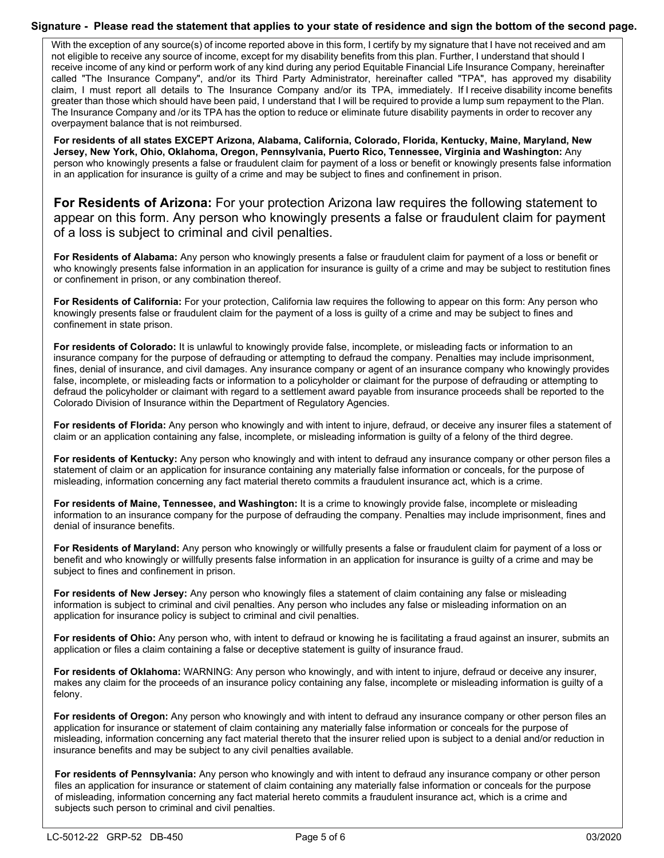### **Signature - Please read the statement that applies to your state of residence and sign the bottom of the second page.**

 not eligible to receive any source of income, except for my disability benefits from this plan. Further, I understand that should I receive income of any kind or perform work of any kind during any period Equitable Financial Life Insurance Company, hereinafter called "The Insurance Company", and/or its Third Party Administrator, hereinafter called "TPA", has approved my disability claim, I must report all details to The Insurance Company and/or its TPA, immediately. If I receive disability income benefits greater than those which should have been paid, I understand that I will be required to provide a lump sum repayment to the Plan. The Insurance Company and /or its TPA has the option to reduce or eliminate future disability payments in order to recover any With the exception of any source(s) of income reported above in this form, I certify by my signature that I have not received and am overpayment balance that is not reimbursed.

 **Jersey, New York, Ohio, Oklahoma, Oregon, Pennsylvania, Puerto Rico, Tennessee, Virginia and Washington:** Any **For residents of all states EXCEPT Arizona, Alabama, California, Colorado, Florida, Kentucky, Maine, Maryland, New**  person who knowingly presents a false or fraudulent claim for payment of a loss or benefit or knowingly presents false information in an application for insurance is guilty of a crime and may be subject to fines and confinement in prison.

**For Residents of Arizona:** For your protection Arizona law requires the following statement to appear on this form. Any person who knowingly presents a false or fraudulent claim for payment of a loss is subject to criminal and civil penalties.

 **For Residents of Alabama:** Any person who knowingly presents a false or fraudulent claim for payment of a loss or benefit or who knowingly presents false information in an application for insurance is guilty of a crime and may be subject to restitution fines or confinement in prison, or any combination thereof.

 **For Residents of California:** For your protection, California law requires the following to appear on this form: Any person who knowingly presents false or fraudulent claim for the payment of a loss is guilty of a crime and may be subject to fines and confinement in state prison.

 fines, denial of insurance, and civil damages. Any insurance company or agent of an insurance company who knowingly provides defraud the policyholder or claimant with regard to a settlement award payable from insurance proceeds shall be reported to the **For residents of Colorado:** It is unlawful to knowingly provide false, incomplete, or misleading facts or information to an insurance company for the purpose of defrauding or attempting to defraud the company. Penalties may include imprisonment, false, incomplete, or misleading facts or information to a policyholder or claimant for the purpose of defrauding or attempting to Colorado Division of Insurance within the Department of Regulatory Agencies.

 **For residents of Florida:** Any person who knowingly and with intent to injure, defraud, or deceive any insurer files a statement of claim or an application containing any false, incomplete, or misleading information is guilty of a felony of the third degree.

**For residents of Kentucky:** Any person who knowingly and with intent to defraud any insurance company or other person files a statement of claim or an application for insurance containing any materially false information or conceals, for the purpose of misleading, information concerning any fact material thereto commits a fraudulent insurance act, which is a crime.

 information to an insurance company for the purpose of defrauding the company. Penalties may include imprisonment, fines and **For residents of Maine, Tennessee, and Washington:** It is a crime to knowingly provide false, incomplete or misleading denial of insurance benefits.

 **For Residents of Maryland:** Any person who knowingly or willfully presents a false or fraudulent claim for payment of a loss or benefit and who knowingly or willfully presents false information in an application for insurance is guilty of a crime and may be subject to fines and confinement in prison.

 **For residents of New Jersey:** Any person who knowingly files a statement of claim containing any false or misleading information is subject to criminal and civil penalties. Any person who includes any false or misleading information on an application for insurance policy is subject to criminal and civil penalties.

 **For residents of Ohio:** Any person who, with intent to defraud or knowing he is facilitating a fraud against an insurer, submits an application or files a claim containing a false or deceptive statement is guilty of insurance fraud.

 **For residents of Oklahoma:** WARNING: Any person who knowingly, and with intent to injure, defraud or deceive any insurer, makes any claim for the proceeds of an insurance policy containing any false, incomplete or misleading information is guilty of a felony.

 application for insurance or statement of claim containing any materially false information or conceals for the purpose of misleading, information concerning any fact material thereto that the insurer relied upon is subject to a denial and/or reduction in **For residents of Oregon:** Any person who knowingly and with intent to defraud any insurance company or other person files an insurance benefits and may be subject to any civil penalties available.

For residents of Pennsylvania: Any person who knowingly and with intent to defraud any insurance company or other person files an application for insurance or statement of claim containing any materially false information or conceals for the purpose of misleading, information concerning any fact material hereto commits a fraudulent insurance act, which is a crime and subjects such person to criminal and civil penalties.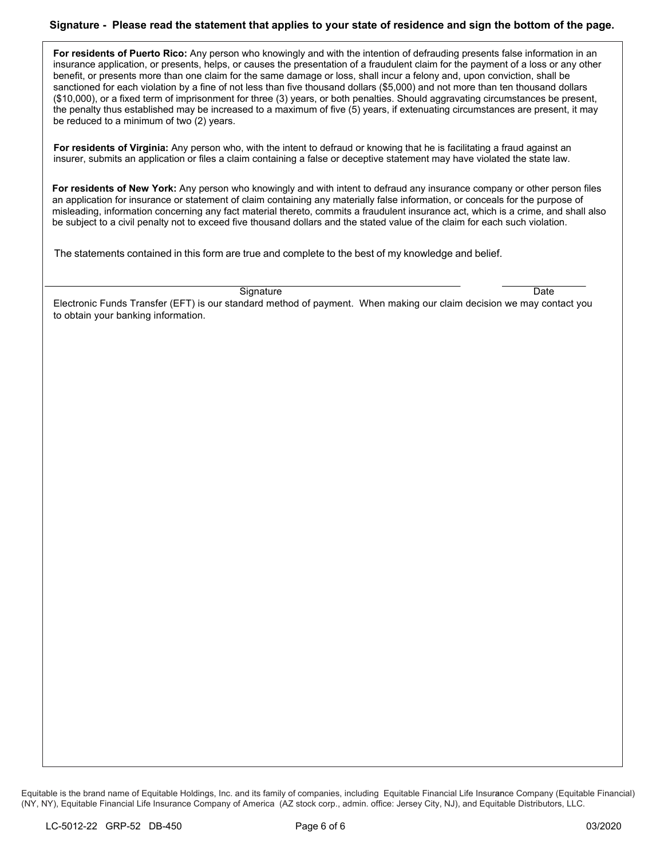# **Signature - Please read the statement that applies to your state of residence and sign the bottom of the page.**

**For residents of Puerto Rico:** Any person who knowingly and with the intention of defrauding presents false information in an insurance application, or presents, helps, or causes the presentation of a fraudulent claim for the payment of a loss or any other benefit, or presents more than one claim for the same damage or loss, shall incur a felony and, upon conviction, shall be sanctioned for each violation by a fine of not less than five thousand dollars (\$5,000) and not more than ten thousand dollars (\$10,000), or a fixed term of imprisonment for three (3) years, or both penalties. Should aggravating circumstances be present, the penalty thus established may be increased to a maximum of five (5) years, if extenuating circumstances are present, it may be reduced to a minimum of two (2) years.

**For residents of Virginia:** Any person who, with the intent to defraud or knowing that he is facilitating a fraud against an insurer, submits an application or files a claim containing a false or deceptive statement may have violated the state law.

**For residents of New York:** Any person who knowingly and with intent to defraud any insurance company or other person files an application for insurance or statement of claim containing any materially false information, or conceals for the purpose of misleading, information concerning any fact material thereto, commits a fraudulent insurance act, which is a crime, and shall also be subject to a civil penalty not to exceed five thousand dollars and the stated value of the claim for each such violation.

The statements contained in this form are true and complete to the best of my knowledge and belief.

Signature Date

 Electronic Funds Transfer (EFT) is our standard method of payment. When making our claim decision we may contact you to obtain your banking information.

Equitable is the brand name of Equitable Holdings, Inc. and its family of companies, including Equitable Financial Life Insurance Company (Equitable Financial) (NY, NY), Equitable Financial Life Insurance Company of America (AZ stock corp., admin. office: Jersey City, NJ), and Equitable Distributors, LLC.